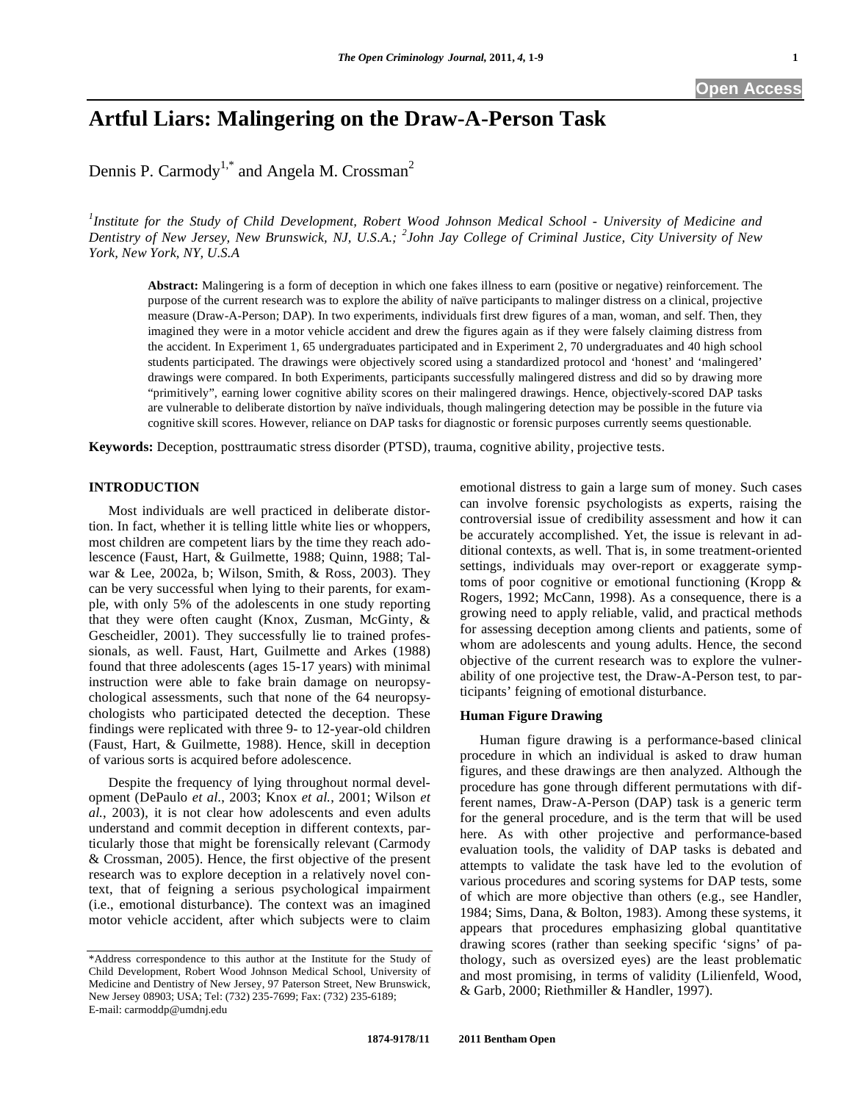# **Artful Liars: Malingering on the Draw-A-Person Task**

Dennis P. Carmody<sup>1,\*</sup> and Angela M. Crossman<sup>2</sup>

*1 Institute for the Study of Child Development, Robert Wood Johnson Medical School - University of Medicine and Dentistry of New Jersey, New Brunswick, NJ, U.S.A.; <sup>2</sup> John Jay College of Criminal Justice, City University of New York, New York, NY, U.S.A* 

**Abstract:** Malingering is a form of deception in which one fakes illness to earn (positive or negative) reinforcement. The purpose of the current research was to explore the ability of naïve participants to malinger distress on a clinical, projective measure (Draw-A-Person; DAP). In two experiments, individuals first drew figures of a man, woman, and self. Then, they imagined they were in a motor vehicle accident and drew the figures again as if they were falsely claiming distress from the accident. In Experiment 1, 65 undergraduates participated and in Experiment 2, 70 undergraduates and 40 high school students participated. The drawings were objectively scored using a standardized protocol and 'honest' and 'malingered' drawings were compared. In both Experiments, participants successfully malingered distress and did so by drawing more "primitively", earning lower cognitive ability scores on their malingered drawings. Hence, objectively-scored DAP tasks are vulnerable to deliberate distortion by naïve individuals, though malingering detection may be possible in the future via cognitive skill scores. However, reliance on DAP tasks for diagnostic or forensic purposes currently seems questionable.

**Keywords:** Deception, posttraumatic stress disorder (PTSD), trauma, cognitive ability, projective tests.

# **INTRODUCTION**

 Most individuals are well practiced in deliberate distortion. In fact, whether it is telling little white lies or whoppers, most children are competent liars by the time they reach adolescence (Faust, Hart, & Guilmette, 1988; Quinn, 1988; Talwar & Lee, 2002a, b; Wilson, Smith, & Ross, 2003). They can be very successful when lying to their parents, for example, with only 5% of the adolescents in one study reporting that they were often caught (Knox, Zusman, McGinty, & Gescheidler, 2001). They successfully lie to trained professionals, as well. Faust, Hart, Guilmette and Arkes (1988) found that three adolescents (ages 15-17 years) with minimal instruction were able to fake brain damage on neuropsychological assessments, such that none of the 64 neuropsychologists who participated detected the deception. These findings were replicated with three 9- to 12-year-old children (Faust, Hart, & Guilmette, 1988). Hence, skill in deception of various sorts is acquired before adolescence.

 Despite the frequency of lying throughout normal development (DePaulo *et al.*, 2003; Knox *et al.*, 2001; Wilson *et al.*, 2003), it is not clear how adolescents and even adults understand and commit deception in different contexts, particularly those that might be forensically relevant (Carmody & Crossman, 2005). Hence, the first objective of the present research was to explore deception in a relatively novel context, that of feigning a serious psychological impairment (i.e., emotional disturbance). The context was an imagined motor vehicle accident, after which subjects were to claim

emotional distress to gain a large sum of money. Such cases can involve forensic psychologists as experts, raising the controversial issue of credibility assessment and how it can be accurately accomplished. Yet, the issue is relevant in additional contexts, as well. That is, in some treatment-oriented settings, individuals may over-report or exaggerate symptoms of poor cognitive or emotional functioning (Kropp & Rogers, 1992; McCann, 1998). As a consequence, there is a growing need to apply reliable, valid, and practical methods for assessing deception among clients and patients, some of whom are adolescents and young adults. Hence, the second objective of the current research was to explore the vulnerability of one projective test, the Draw-A-Person test, to participants' feigning of emotional disturbance.

## **Human Figure Drawing**

 Human figure drawing is a performance-based clinical procedure in which an individual is asked to draw human figures, and these drawings are then analyzed. Although the procedure has gone through different permutations with different names, Draw-A-Person (DAP) task is a generic term for the general procedure, and is the term that will be used here. As with other projective and performance-based evaluation tools, the validity of DAP tasks is debated and attempts to validate the task have led to the evolution of various procedures and scoring systems for DAP tests, some of which are more objective than others (e.g., see Handler, 1984; Sims, Dana, & Bolton, 1983). Among these systems, it appears that procedures emphasizing global quantitative drawing scores (rather than seeking specific 'signs' of pathology, such as oversized eyes) are the least problematic and most promising, in terms of validity (Lilienfeld, Wood, & Garb, 2000; Riethmiller & Handler, 1997).

<sup>\*</sup>Address correspondence to this author at the Institute for the Study of Child Development, Robert Wood Johnson Medical School, University of Medicine and Dentistry of New Jersey, 97 Paterson Street, New Brunswick, New Jersey 08903; USA; Tel: (732) 235-7699; Fax: (732) 235-6189; E-mail: carmoddp@umdnj.edu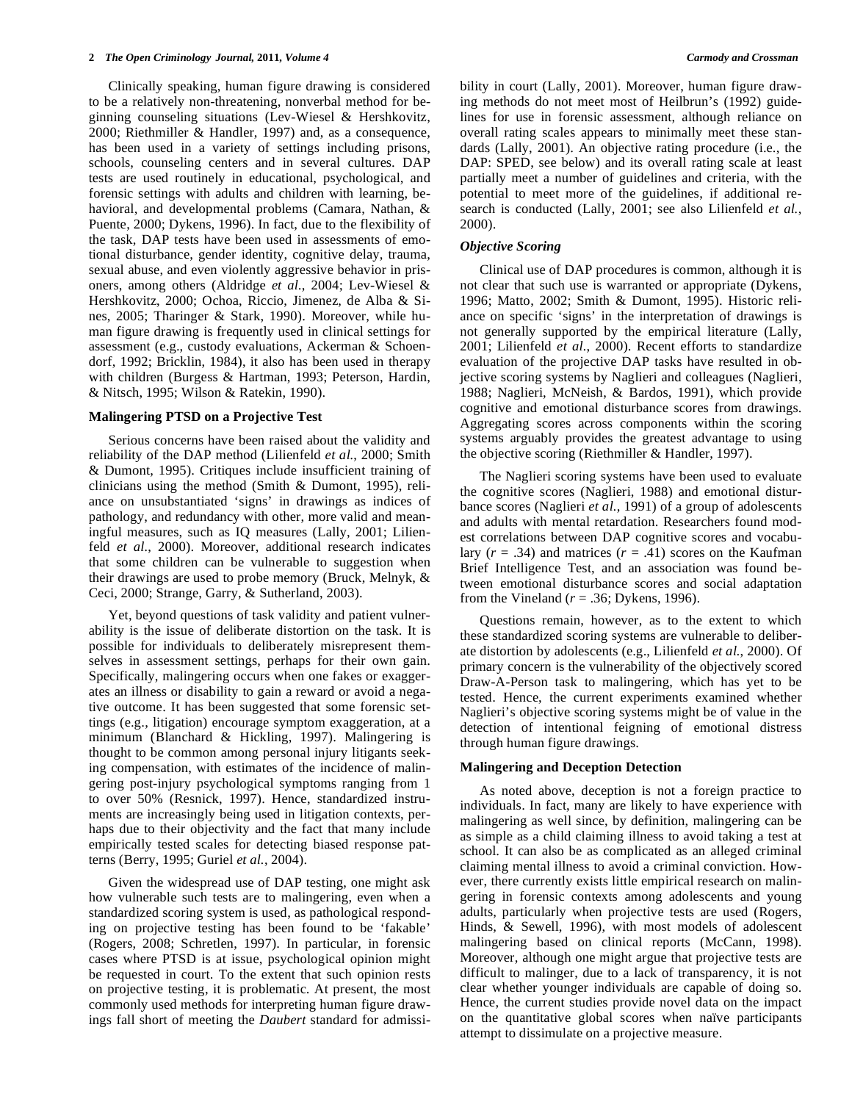Clinically speaking, human figure drawing is considered to be a relatively non-threatening, nonverbal method for beginning counseling situations (Lev-Wiesel & Hershkovitz, 2000; Riethmiller & Handler, 1997) and, as a consequence, has been used in a variety of settings including prisons, schools, counseling centers and in several cultures. DAP tests are used routinely in educational, psychological, and forensic settings with adults and children with learning, behavioral, and developmental problems (Camara, Nathan, & Puente, 2000; Dykens, 1996). In fact, due to the flexibility of the task, DAP tests have been used in assessments of emotional disturbance, gender identity, cognitive delay, trauma, sexual abuse, and even violently aggressive behavior in prisoners, among others (Aldridge *et al.*, 2004; Lev-Wiesel & Hershkovitz, 2000; Ochoa, Riccio, Jimenez, de Alba & Sines, 2005; Tharinger & Stark, 1990). Moreover, while human figure drawing is frequently used in clinical settings for assessment (e.g., custody evaluations, Ackerman & Schoendorf, 1992; Bricklin, 1984), it also has been used in therapy with children (Burgess & Hartman, 1993; Peterson, Hardin, & Nitsch, 1995; Wilson & Ratekin, 1990).

#### **Malingering PTSD on a Projective Test**

 Serious concerns have been raised about the validity and reliability of the DAP method (Lilienfeld *et al.*, 2000; Smith & Dumont, 1995). Critiques include insufficient training of clinicians using the method (Smith & Dumont, 1995), reliance on unsubstantiated 'signs' in drawings as indices of pathology, and redundancy with other, more valid and meaningful measures, such as IQ measures (Lally, 2001; Lilienfeld *et al.*, 2000). Moreover, additional research indicates that some children can be vulnerable to suggestion when their drawings are used to probe memory (Bruck, Melnyk, & Ceci, 2000; Strange, Garry, & Sutherland, 2003).

 Yet, beyond questions of task validity and patient vulnerability is the issue of deliberate distortion on the task. It is possible for individuals to deliberately misrepresent themselves in assessment settings, perhaps for their own gain. Specifically, malingering occurs when one fakes or exaggerates an illness or disability to gain a reward or avoid a negative outcome. It has been suggested that some forensic settings (e.g., litigation) encourage symptom exaggeration, at a minimum (Blanchard & Hickling, 1997). Malingering is thought to be common among personal injury litigants seeking compensation, with estimates of the incidence of malingering post-injury psychological symptoms ranging from 1 to over 50% (Resnick, 1997). Hence, standardized instruments are increasingly being used in litigation contexts, perhaps due to their objectivity and the fact that many include empirically tested scales for detecting biased response patterns (Berry, 1995; Guriel *et al.*, 2004).

 Given the widespread use of DAP testing, one might ask how vulnerable such tests are to malingering, even when a standardized scoring system is used, as pathological responding on projective testing has been found to be 'fakable' (Rogers, 2008; Schretlen, 1997). In particular, in forensic cases where PTSD is at issue, psychological opinion might be requested in court. To the extent that such opinion rests on projective testing, it is problematic. At present, the most commonly used methods for interpreting human figure drawings fall short of meeting the *Daubert* standard for admissibility in court (Lally, 2001). Moreover, human figure drawing methods do not meet most of Heilbrun's (1992) guidelines for use in forensic assessment, although reliance on overall rating scales appears to minimally meet these standards (Lally, 2001). An objective rating procedure (i.e., the DAP: SPED, see below) and its overall rating scale at least partially meet a number of guidelines and criteria, with the potential to meet more of the guidelines, if additional research is conducted (Lally, 2001; see also Lilienfeld *et al.*, 2000).

# *Objective Scoring*

Clinical use of DAP procedures is common, although it is not clear that such use is warranted or appropriate (Dykens, 1996; Matto, 2002; Smith & Dumont, 1995). Historic reliance on specific 'signs' in the interpretation of drawings is not generally supported by the empirical literature (Lally, 2001; Lilienfeld *et al.*, 2000). Recent efforts to standardize evaluation of the projective DAP tasks have resulted in objective scoring systems by Naglieri and colleagues (Naglieri, 1988; Naglieri, McNeish, & Bardos, 1991), which provide cognitive and emotional disturbance scores from drawings. Aggregating scores across components within the scoring systems arguably provides the greatest advantage to using the objective scoring (Riethmiller & Handler, 1997).

 The Naglieri scoring systems have been used to evaluate the cognitive scores (Naglieri, 1988) and emotional disturbance scores (Naglieri *et al.*, 1991) of a group of adolescents and adults with mental retardation. Researchers found modest correlations between DAP cognitive scores and vocabulary  $(r = .34)$  and matrices  $(r = .41)$  scores on the Kaufman Brief Intelligence Test, and an association was found between emotional disturbance scores and social adaptation from the Vineland ( $r = .36$ ; Dykens, 1996).

 Questions remain, however, as to the extent to which these standardized scoring systems are vulnerable to deliberate distortion by adolescents (e.g., Lilienfeld *et al.*, 2000). Of primary concern is the vulnerability of the objectively scored Draw-A-Person task to malingering, which has yet to be tested. Hence, the current experiments examined whether Naglieri's objective scoring systems might be of value in the detection of intentional feigning of emotional distress through human figure drawings.

# **Malingering and Deception Detection**

 As noted above, deception is not a foreign practice to individuals. In fact, many are likely to have experience with malingering as well since, by definition, malingering can be as simple as a child claiming illness to avoid taking a test at school. It can also be as complicated as an alleged criminal claiming mental illness to avoid a criminal conviction. However, there currently exists little empirical research on malingering in forensic contexts among adolescents and young adults, particularly when projective tests are used (Rogers, Hinds, & Sewell, 1996), with most models of adolescent malingering based on clinical reports (McCann, 1998). Moreover, although one might argue that projective tests are difficult to malinger, due to a lack of transparency, it is not clear whether younger individuals are capable of doing so. Hence, the current studies provide novel data on the impact on the quantitative global scores when naïve participants attempt to dissimulate on a projective measure.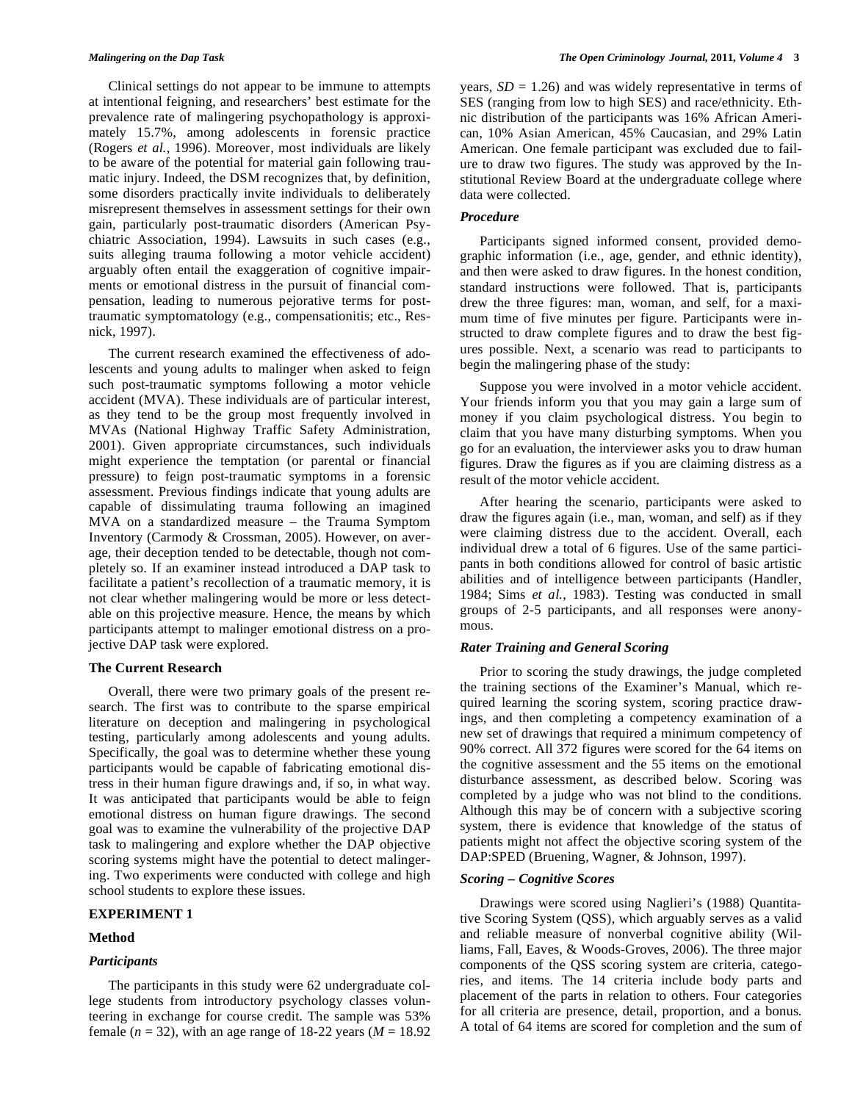Clinical settings do not appear to be immune to attempts at intentional feigning, and researchers' best estimate for the prevalence rate of malingering psychopathology is approximately 15.7%, among adolescents in forensic practice (Rogers *et al.*, 1996). Moreover, most individuals are likely to be aware of the potential for material gain following traumatic injury. Indeed, the DSM recognizes that, by definition, some disorders practically invite individuals to deliberately misrepresent themselves in assessment settings for their own gain, particularly post-traumatic disorders (American Psychiatric Association, 1994). Lawsuits in such cases (e.g., suits alleging trauma following a motor vehicle accident) arguably often entail the exaggeration of cognitive impairments or emotional distress in the pursuit of financial compensation, leading to numerous pejorative terms for posttraumatic symptomatology (e.g., compensationitis; etc., Resnick, 1997).

 The current research examined the effectiveness of adolescents and young adults to malinger when asked to feign such post-traumatic symptoms following a motor vehicle accident (MVA). These individuals are of particular interest, as they tend to be the group most frequently involved in MVAs (National Highway Traffic Safety Administration, 2001). Given appropriate circumstances, such individuals might experience the temptation (or parental or financial pressure) to feign post-traumatic symptoms in a forensic assessment. Previous findings indicate that young adults are capable of dissimulating trauma following an imagined MVA on a standardized measure – the Trauma Symptom Inventory (Carmody & Crossman, 2005). However, on average, their deception tended to be detectable, though not completely so. If an examiner instead introduced a DAP task to facilitate a patient's recollection of a traumatic memory, it is not clear whether malingering would be more or less detectable on this projective measure. Hence, the means by which participants attempt to malinger emotional distress on a projective DAP task were explored.

# **The Current Research**

 Overall, there were two primary goals of the present research. The first was to contribute to the sparse empirical literature on deception and malingering in psychological testing, particularly among adolescents and young adults. Specifically, the goal was to determine whether these young participants would be capable of fabricating emotional distress in their human figure drawings and, if so, in what way. It was anticipated that participants would be able to feign emotional distress on human figure drawings. The second goal was to examine the vulnerability of the projective DAP task to malingering and explore whether the DAP objective scoring systems might have the potential to detect malingering. Two experiments were conducted with college and high school students to explore these issues.

#### **EXPERIMENT 1**

#### **Method**

# *Participants*

years,  $SD = 1.26$ ) and was widely representative in terms of SES (ranging from low to high SES) and race/ethnicity. Ethnic distribution of the participants was 16% African American, 10% Asian American, 45% Caucasian, and 29% Latin American. One female participant was excluded due to failure to draw two figures. The study was approved by the Institutional Review Board at the undergraduate college where data were collected.

# *Procedure*

 Participants signed informed consent, provided demographic information (i.e., age, gender, and ethnic identity), and then were asked to draw figures. In the honest condition, standard instructions were followed. That is, participants drew the three figures: man, woman, and self, for a maximum time of five minutes per figure. Participants were instructed to draw complete figures and to draw the best figures possible. Next, a scenario was read to participants to begin the malingering phase of the study:

 Suppose you were involved in a motor vehicle accident. Your friends inform you that you may gain a large sum of money if you claim psychological distress. You begin to claim that you have many disturbing symptoms. When you go for an evaluation, the interviewer asks you to draw human figures. Draw the figures as if you are claiming distress as a result of the motor vehicle accident.

 After hearing the scenario, participants were asked to draw the figures again (i.e., man, woman, and self) as if they were claiming distress due to the accident. Overall, each individual drew a total of 6 figures. Use of the same participants in both conditions allowed for control of basic artistic abilities and of intelligence between participants (Handler, 1984; Sims *et al.*, 1983). Testing was conducted in small groups of 2-5 participants, and all responses were anonymous.

## *Rater Training and General Scoring*

Prior to scoring the study drawings, the judge completed the training sections of the Examiner's Manual, which required learning the scoring system, scoring practice drawings, and then completing a competency examination of a new set of drawings that required a minimum competency of 90% correct. All 372 figures were scored for the 64 items on the cognitive assessment and the 55 items on the emotional disturbance assessment, as described below. Scoring was completed by a judge who was not blind to the conditions. Although this may be of concern with a subjective scoring system, there is evidence that knowledge of the status of patients might not affect the objective scoring system of the DAP:SPED (Bruening, Wagner, & Johnson, 1997).

# *Scoring – Cognitive Scores*

 Drawings were scored using Naglieri's (1988) Quantitative Scoring System (QSS), which arguably serves as a valid and reliable measure of nonverbal cognitive ability (Williams, Fall, Eaves, & Woods-Groves, 2006). The three major components of the QSS scoring system are criteria, categories, and items. The 14 criteria include body parts and placement of the parts in relation to others. Four categories for all criteria are presence, detail, proportion, and a bonus. A total of 64 items are scored for completion and the sum of

 The participants in this study were 62 undergraduate college students from introductory psychology classes volunteering in exchange for course credit. The sample was 53% female  $(n = 32)$ , with an age range of 18-22 years  $(M = 18.92)$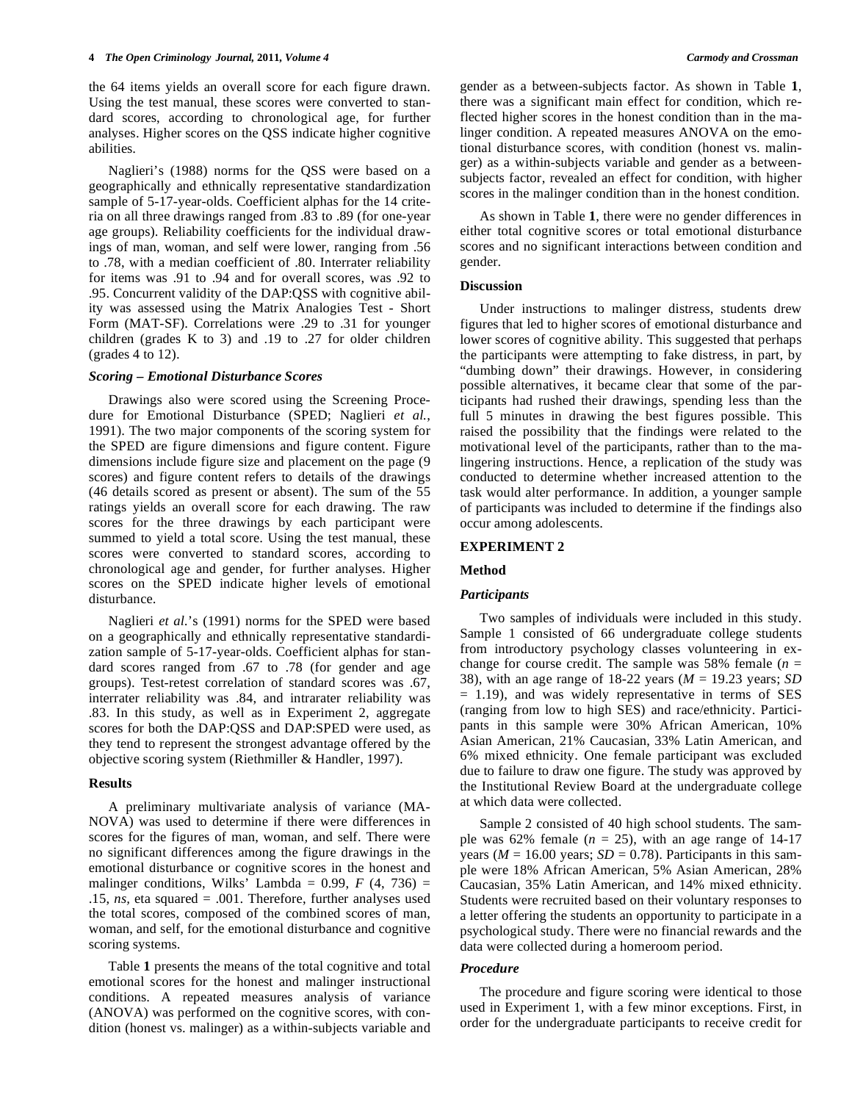the 64 items yields an overall score for each figure drawn. Using the test manual, these scores were converted to standard scores, according to chronological age, for further analyses. Higher scores on the QSS indicate higher cognitive abilities.

 Naglieri's (1988) norms for the QSS were based on a geographically and ethnically representative standardization sample of 5-17-year-olds. Coefficient alphas for the 14 criteria on all three drawings ranged from .83 to .89 (for one-year age groups). Reliability coefficients for the individual drawings of man, woman, and self were lower, ranging from .56 to .78, with a median coefficient of .80. Interrater reliability for items was .91 to .94 and for overall scores, was .92 to .95. Concurrent validity of the DAP:QSS with cognitive ability was assessed using the Matrix Analogies Test - Short Form (MAT-SF). Correlations were .29 to .31 for younger children (grades K to 3) and .19 to .27 for older children (grades 4 to 12).

# *Scoring – Emotional Disturbance Scores*

 Drawings also were scored using the Screening Procedure for Emotional Disturbance (SPED; Naglieri *et al.*, 1991). The two major components of the scoring system for the SPED are figure dimensions and figure content. Figure dimensions include figure size and placement on the page (9 scores) and figure content refers to details of the drawings (46 details scored as present or absent). The sum of the 55 ratings yields an overall score for each drawing. The raw scores for the three drawings by each participant were summed to yield a total score. Using the test manual, these scores were converted to standard scores, according to chronological age and gender, for further analyses. Higher scores on the SPED indicate higher levels of emotional disturbance.

 Naglieri *et al.*'s (1991) norms for the SPED were based on a geographically and ethnically representative standardization sample of 5-17-year-olds. Coefficient alphas for standard scores ranged from .67 to .78 (for gender and age groups). Test-retest correlation of standard scores was .67, interrater reliability was .84, and intrarater reliability was .83. In this study, as well as in Experiment 2, aggregate scores for both the DAP:QSS and DAP:SPED were used, as they tend to represent the strongest advantage offered by the objective scoring system (Riethmiller & Handler, 1997).

#### **Results**

 A preliminary multivariate analysis of variance (MA-NOVA) was used to determine if there were differences in scores for the figures of man, woman, and self. There were no significant differences among the figure drawings in the emotional disturbance or cognitive scores in the honest and malinger conditions, Wilks' Lambda =  $0.99$ ,  $F(4, 736)$  = .15, *ns,* eta squared = .001. Therefore, further analyses used the total scores, composed of the combined scores of man, woman, and self, for the emotional disturbance and cognitive scoring systems.

 Table **1** presents the means of the total cognitive and total emotional scores for the honest and malinger instructional conditions. A repeated measures analysis of variance (ANOVA) was performed on the cognitive scores, with condition (honest vs. malinger) as a within-subjects variable and gender as a between-subjects factor. As shown in Table **1**, there was a significant main effect for condition, which reflected higher scores in the honest condition than in the malinger condition. A repeated measures ANOVA on the emotional disturbance scores, with condition (honest vs. malinger) as a within-subjects variable and gender as a betweensubjects factor, revealed an effect for condition, with higher scores in the malinger condition than in the honest condition.

 As shown in Table **1**, there were no gender differences in either total cognitive scores or total emotional disturbance scores and no significant interactions between condition and gender.

#### **Discussion**

 Under instructions to malinger distress, students drew figures that led to higher scores of emotional disturbance and lower scores of cognitive ability. This suggested that perhaps the participants were attempting to fake distress, in part, by "dumbing down" their drawings. However, in considering possible alternatives, it became clear that some of the participants had rushed their drawings, spending less than the full 5 minutes in drawing the best figures possible. This raised the possibility that the findings were related to the motivational level of the participants, rather than to the malingering instructions. Hence, a replication of the study was conducted to determine whether increased attention to the task would alter performance. In addition, a younger sample of participants was included to determine if the findings also occur among adolescents.

# **EXPERIMENT 2**

#### **Method**

# *Participants*

 Two samples of individuals were included in this study. Sample 1 consisted of 66 undergraduate college students from introductory psychology classes volunteering in exchange for course credit. The sample was 58% female  $(n =$ 38), with an age range of 18-22 years (*M* = 19.23 years; *SD* = 1.19), and was widely representative in terms of SES (ranging from low to high SES) and race/ethnicity. Participants in this sample were 30% African American, 10% Asian American, 21% Caucasian, 33% Latin American, and 6% mixed ethnicity. One female participant was excluded due to failure to draw one figure. The study was approved by the Institutional Review Board at the undergraduate college at which data were collected.

 Sample 2 consisted of 40 high school students. The sample was  $62\%$  female ( $n = 25$ ), with an age range of 14-17 years ( $M = 16.00$  years;  $SD = 0.78$ ). Participants in this sample were 18% African American, 5% Asian American, 28% Caucasian, 35% Latin American, and 14% mixed ethnicity. Students were recruited based on their voluntary responses to a letter offering the students an opportunity to participate in a psychological study. There were no financial rewards and the data were collected during a homeroom period.

#### *Procedure*

 The procedure and figure scoring were identical to those used in Experiment 1, with a few minor exceptions. First, in order for the undergraduate participants to receive credit for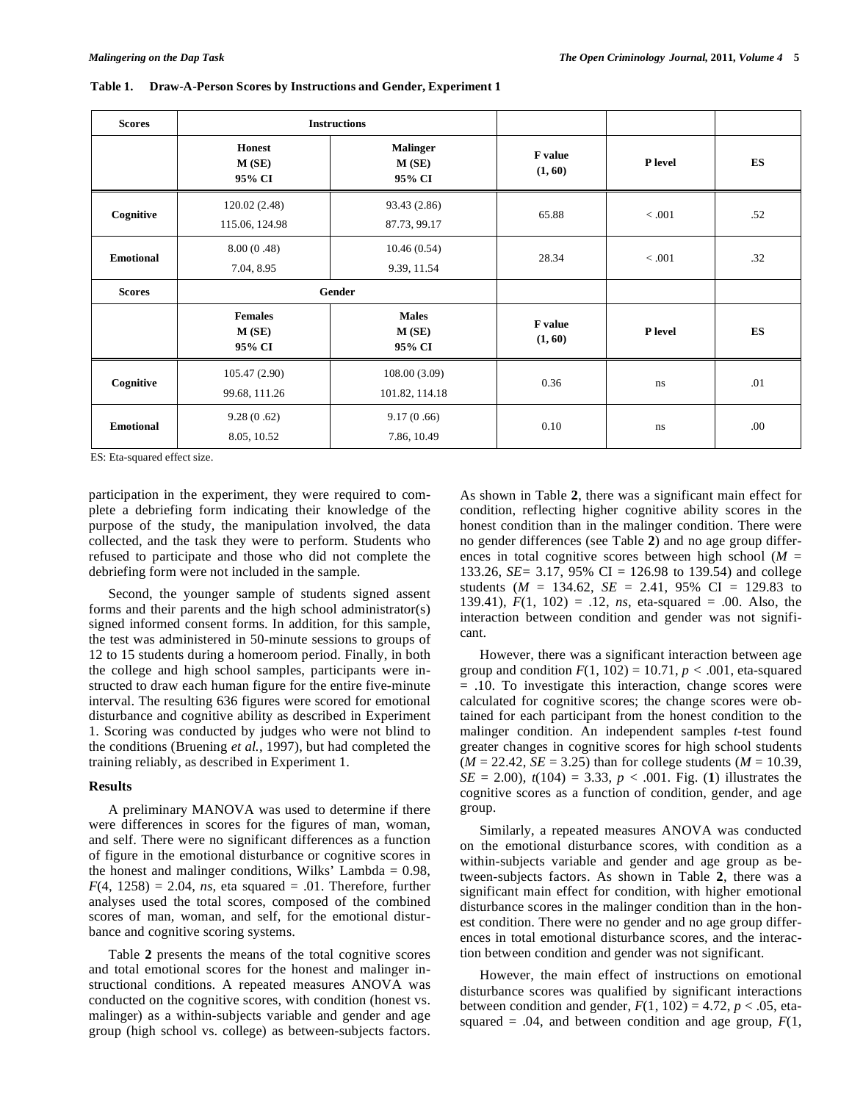| <b>Scores</b>    |                                   | <b>Instructions</b>                |                           |                |     |
|------------------|-----------------------------------|------------------------------------|---------------------------|----------------|-----|
|                  | <b>Honest</b><br>M(SE)<br>95% CI  | <b>Malinger</b><br>M(SE)<br>95% CI | <b>F</b> value<br>(1, 60) | P level        | ES  |
| Cognitive        | 120.02(2.48)<br>115.06, 124.98    | 93.43 (2.86)<br>87.73, 99.17       | 65.88                     | < .001         | .52 |
| <b>Emotional</b> | 8.00(0.48)<br>7.04, 8.95          | 10.46(0.54)<br>9.39, 11.54         | 28.34                     | < .001         | .32 |
| <b>Scores</b>    |                                   | Gender                             |                           |                |     |
|                  | <b>Females</b><br>M(SE)<br>95% CI | <b>Males</b><br>M(SE)<br>95% CI    | <b>F</b> value<br>(1, 60) | <b>P</b> level | ES  |
| Cognitive        | 105.47(2.90)<br>99.68, 111.26     | 108.00(3.09)<br>101.82, 114.18     | 0.36                      | ns             | .01 |
| <b>Emotional</b> | 9.28(0.62)<br>8.05, 10.52         | 9.17(0.66)<br>7.86, 10.49          | 0.10                      | ns             | .00 |

**Table 1. Draw-A-Person Scores by Instructions and Gender, Experiment 1** 

ES: Eta-squared effect size.

participation in the experiment, they were required to complete a debriefing form indicating their knowledge of the purpose of the study, the manipulation involved, the data collected, and the task they were to perform. Students who refused to participate and those who did not complete the debriefing form were not included in the sample.

 Second, the younger sample of students signed assent forms and their parents and the high school administrator(s) signed informed consent forms. In addition, for this sample, the test was administered in 50-minute sessions to groups of 12 to 15 students during a homeroom period. Finally, in both the college and high school samples, participants were instructed to draw each human figure for the entire five-minute interval. The resulting 636 figures were scored for emotional disturbance and cognitive ability as described in Experiment 1. Scoring was conducted by judges who were not blind to the conditions (Bruening *et al.*, 1997), but had completed the training reliably, as described in Experiment 1.

# **Results**

 A preliminary MANOVA was used to determine if there were differences in scores for the figures of man, woman, and self. There were no significant differences as a function of figure in the emotional disturbance or cognitive scores in the honest and malinger conditions, Wilks' Lambda  $= 0.98$ ,  $F(4, 1258) = 2.04$ , *ns*, eta squared = .01. Therefore, further analyses used the total scores, composed of the combined scores of man, woman, and self, for the emotional disturbance and cognitive scoring systems.

 Table **2** presents the means of the total cognitive scores and total emotional scores for the honest and malinger instructional conditions. A repeated measures ANOVA was conducted on the cognitive scores, with condition (honest vs. malinger) as a within-subjects variable and gender and age group (high school vs. college) as between-subjects factors.

As shown in Table **2**, there was a significant main effect for condition, reflecting higher cognitive ability scores in the honest condition than in the malinger condition. There were no gender differences (see Table **2**) and no age group differences in total cognitive scores between high school (*M* = 133.26, *SE=* 3.17, 95% CI = 126.98 to 139.54) and college students ( $M = 134.62$ ,  $SE = 2.41$ , 95% CI = 129.83 to 139.41), *F*(1, 102) = .12, *ns*, eta-squared = .00. Also, the interaction between condition and gender was not significant.

 However, there was a significant interaction between age group and condition  $F(1, 102) = 10.71$ ,  $p < .001$ , eta-squared = .10. To investigate this interaction, change scores were calculated for cognitive scores; the change scores were obtained for each participant from the honest condition to the malinger condition. An independent samples *t*-test found greater changes in cognitive scores for high school students  $(M = 22.42, SE = 3.25)$  than for college students  $(M = 10.39,$ *SE* = 2.00),  $t(104) = 3.33$ ,  $p < .001$ . Fig. (1) illustrates the cognitive scores as a function of condition, gender, and age group.

 Similarly, a repeated measures ANOVA was conducted on the emotional disturbance scores, with condition as a within-subjects variable and gender and age group as between-subjects factors. As shown in Table **2**, there was a significant main effect for condition, with higher emotional disturbance scores in the malinger condition than in the honest condition. There were no gender and no age group differences in total emotional disturbance scores, and the interaction between condition and gender was not significant.

 However, the main effect of instructions on emotional disturbance scores was qualified by significant interactions between condition and gender,  $F(1, 102) = 4.72$ ,  $p < .05$ , etasquared  $= .04$ , and between condition and age group,  $F(1)$ ,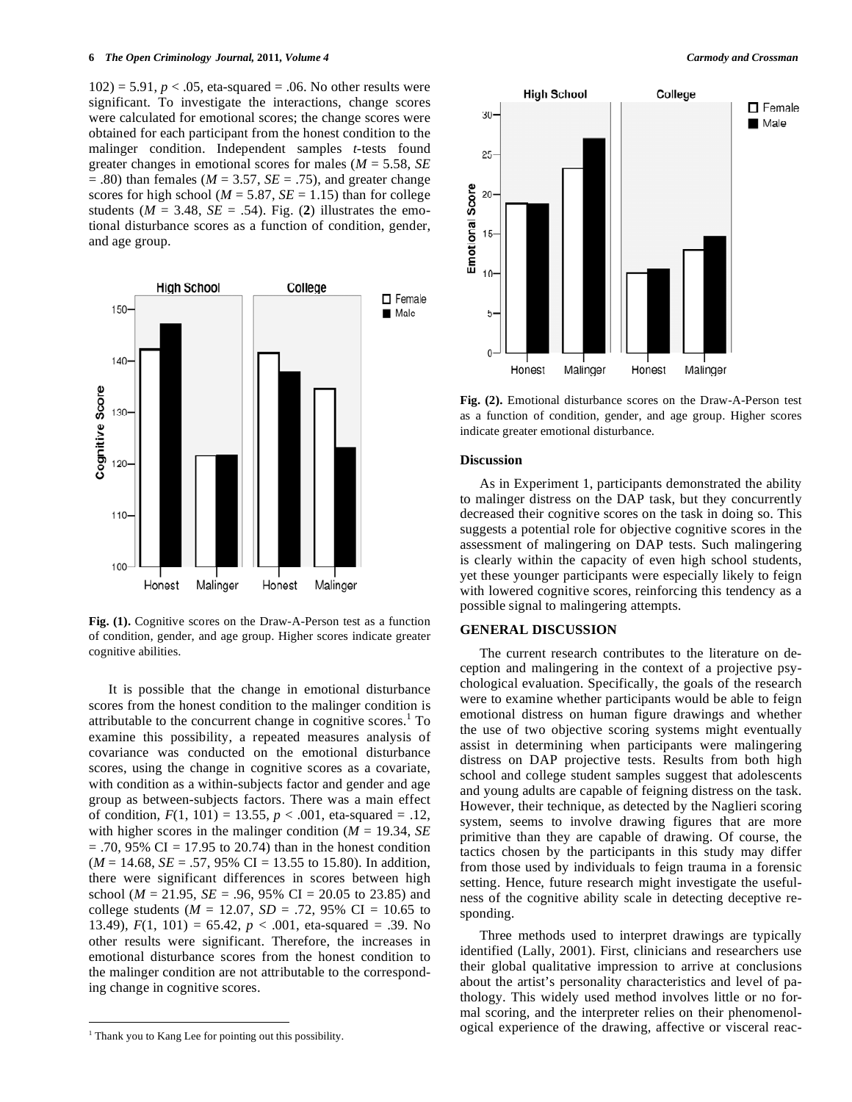$102$ ) = 5.91,  $p < .05$ , eta-squared = .06. No other results were significant. To investigate the interactions, change scores were calculated for emotional scores; the change scores were obtained for each participant from the honest condition to the malinger condition. Independent samples *t*-tests found greater changes in emotional scores for males (*M* = 5.58, *SE*  $= .80$ ) than females ( $M = 3.57$ ,  $SE = .75$ ), and greater change scores for high school ( $M = 5.87$ ,  $SE = 1.15$ ) than for college students ( $M = 3.48$ ,  $SE = .54$ ). Fig. (2) illustrates the emotional disturbance scores as a function of condition, gender, and age group.



**Fig. (1).** Cognitive scores on the Draw-A-Person test as a function of condition, gender, and age group. Higher scores indicate greater cognitive abilities.

 It is possible that the change in emotional disturbance scores from the honest condition to the malinger condition is attributable to the concurrent change in cognitive scores.<sup>1</sup> To examine this possibility, a repeated measures analysis of covariance was conducted on the emotional disturbance scores, using the change in cognitive scores as a covariate, with condition as a within-subjects factor and gender and age group as between-subjects factors. There was a main effect of condition,  $F(1, 101) = 13.55$ ,  $p < .001$ , eta-squared = .12, with higher scores in the malinger condition (*M* = 19.34, *SE*   $= .70, 95\% \text{ CI} = 17.95 \text{ to } 20.74$ ) than in the honest condition  $(M = 14.68, SE = .57, 95\% \text{ CI} = 13.55 \text{ to } 15.80)$ . In addition, there were significant differences in scores between high school (*M* = 21.95, *SE* = .96, 95% CI = 20.05 to 23.85) and college students ( $M = 12.07$ ,  $SD = .72$ , 95% CI = 10.65 to 13.49),  $F(1, 101) = 65.42$ ,  $p < .001$ , eta-squared = .39. No other results were significant. Therefore, the increases in emotional disturbance scores from the honest condition to the malinger condition are not attributable to the corresponding change in cognitive scores.

 $\overline{a}$ 



**Fig. (2).** Emotional disturbance scores on the Draw-A-Person test as a function of condition, gender, and age group. Higher scores indicate greater emotional disturbance.

# **Discussion**

 As in Experiment 1, participants demonstrated the ability to malinger distress on the DAP task, but they concurrently decreased their cognitive scores on the task in doing so. This suggests a potential role for objective cognitive scores in the assessment of malingering on DAP tests. Such malingering is clearly within the capacity of even high school students, yet these younger participants were especially likely to feign with lowered cognitive scores, reinforcing this tendency as a possible signal to malingering attempts.

# **GENERAL DISCUSSION**

 The current research contributes to the literature on deception and malingering in the context of a projective psychological evaluation. Specifically, the goals of the research were to examine whether participants would be able to feign emotional distress on human figure drawings and whether the use of two objective scoring systems might eventually assist in determining when participants were malingering distress on DAP projective tests. Results from both high school and college student samples suggest that adolescents and young adults are capable of feigning distress on the task. However, their technique, as detected by the Naglieri scoring system, seems to involve drawing figures that are more primitive than they are capable of drawing. Of course, the tactics chosen by the participants in this study may differ from those used by individuals to feign trauma in a forensic setting. Hence, future research might investigate the usefulness of the cognitive ability scale in detecting deceptive responding.

 Three methods used to interpret drawings are typically identified (Lally, 2001). First, clinicians and researchers use their global qualitative impression to arrive at conclusions about the artist's personality characteristics and level of pathology. This widely used method involves little or no formal scoring, and the interpreter relies on their phenomenological experience of the drawing, affective or visceral reac-

 $<sup>1</sup>$  Thank you to Kang Lee for pointing out this possibility.</sup>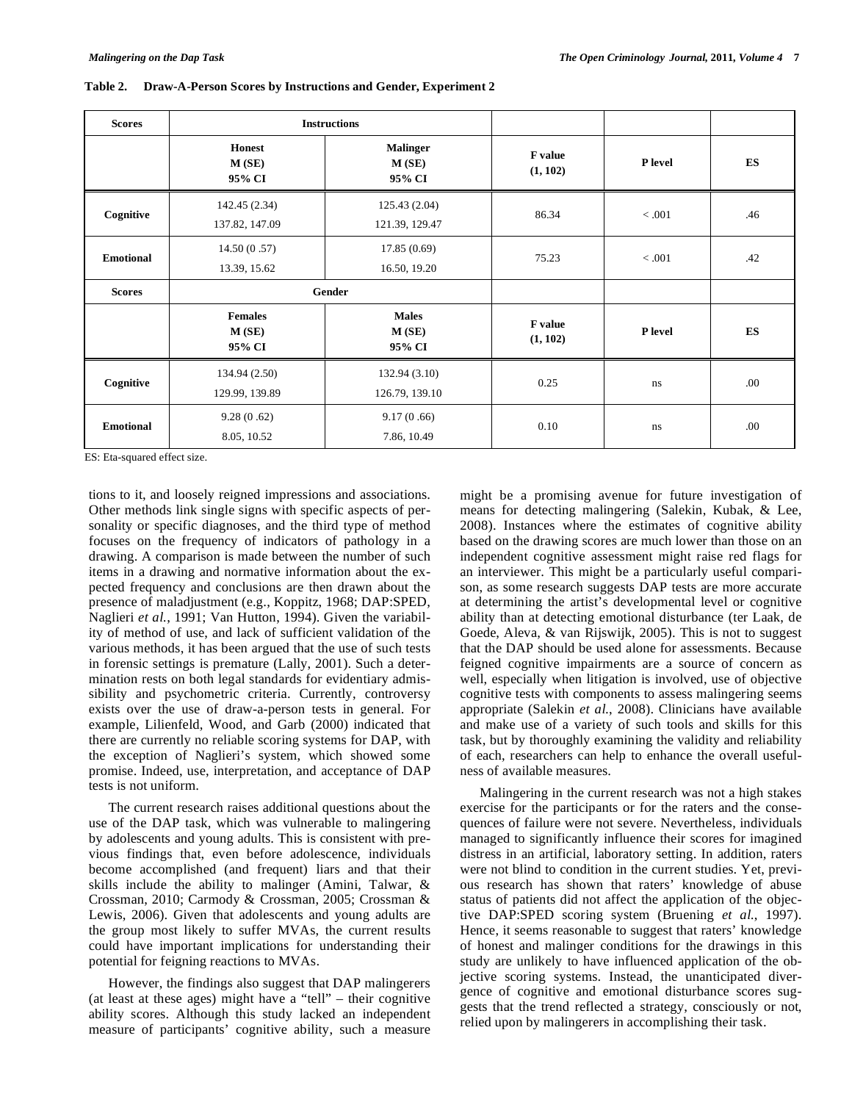| <b>Scores</b>    |                                   | <b>Instructions</b>                |                            |         |      |
|------------------|-----------------------------------|------------------------------------|----------------------------|---------|------|
|                  | <b>Honest</b><br>M(SE)<br>95% CI  | <b>Malinger</b><br>M(SE)<br>95% CI | F value<br>(1, 102)        | P level | ES   |
| Cognitive        | 142.45 (2.34)<br>137.82, 147.09   | 125.43(2.04)<br>121.39, 129.47     | 86.34                      | < 0.001 | .46  |
| <b>Emotional</b> | 14.50(0.57)<br>13.39, 15.62       | 17.85(0.69)<br>16.50, 19.20        | 75.23                      | < .001  | .42  |
| <b>Scores</b>    |                                   | Gender                             |                            |         |      |
|                  | <b>Females</b><br>M(SE)<br>95% CI | <b>Males</b><br>M(SE)<br>95% CI    | <b>F</b> value<br>(1, 102) | P level | ES   |
| Cognitive        | 134.94 (2.50)<br>129.99, 139.89   | 132.94(3.10)<br>126.79, 139.10     | 0.25                       | ns      | .00  |
| <b>Emotional</b> | 9.28(0.62)<br>8.05, 10.52         | 9.17(0.66)<br>7.86, 10.49          | 0.10                       | ns      | .00. |

**Table 2. Draw-A-Person Scores by Instructions and Gender, Experiment 2** 

ES: Eta-squared effect size.

tions to it, and loosely reigned impressions and associations. Other methods link single signs with specific aspects of personality or specific diagnoses, and the third type of method focuses on the frequency of indicators of pathology in a drawing. A comparison is made between the number of such items in a drawing and normative information about the expected frequency and conclusions are then drawn about the presence of maladjustment (e.g., Koppitz, 1968; DAP:SPED, Naglieri et al., 1991; Van Hutton, 1994). Given the variability of method of use, and lack of sufficient validation of the various methods, it has been argued that the use of such tests in forensic settings is premature (Lally, 2001). Such a determination rests on both legal standards for evidentiary admissibility and psychometric criteria. Currently, controversy exists over the use of draw-a-person tests in general. For example, Lilienfeld, Wood, and Garb (2000) indicated that there are currently no reliable scoring systems for DAP, with the exception of Naglieri's system, which showed some promise. Indeed, use, interpretation, and acceptance of DAP tests is not uniform.

 The current research raises additional questions about the use of the DAP task, which was vulnerable to malingering by adolescents and young adults. This is consistent with previous findings that, even before adolescence, individuals become accomplished (and frequent) liars and that their skills include the ability to malinger (Amini, Talwar, & Crossman, 2010; Carmody & Crossman, 2005; Crossman & Lewis, 2006). Given that adolescents and young adults are the group most likely to suffer MVAs, the current results could have important implications for understanding their potential for feigning reactions to MVAs.

 However, the findings also suggest that DAP malingerers (at least at these ages) might have a "tell" – their cognitive ability scores. Although this study lacked an independent measure of participants' cognitive ability, such a measure

might be a promising avenue for future investigation of means for detecting malingering (Salekin, Kubak, & Lee, 2008). Instances where the estimates of cognitive ability based on the drawing scores are much lower than those on an independent cognitive assessment might raise red flags for an interviewer. This might be a particularly useful comparison, as some research suggests DAP tests are more accurate at determining the artist's developmental level or cognitive ability than at detecting emotional disturbance (ter Laak, de Goede, Aleva, & van Rijswijk, 2005). This is not to suggest that the DAP should be used alone for assessments. Because feigned cognitive impairments are a source of concern as well, especially when litigation is involved, use of objective cognitive tests with components to assess malingering seems appropriate (Salekin *et al.*, 2008). Clinicians have available and make use of a variety of such tools and skills for this task, but by thoroughly examining the validity and reliability of each, researchers can help to enhance the overall usefulness of available measures.

 Malingering in the current research was not a high stakes exercise for the participants or for the raters and the consequences of failure were not severe. Nevertheless, individuals managed to significantly influence their scores for imagined distress in an artificial, laboratory setting. In addition, raters were not blind to condition in the current studies. Yet, previous research has shown that raters' knowledge of abuse status of patients did not affect the application of the objective DAP:SPED scoring system (Bruening *et al.*, 1997). Hence, it seems reasonable to suggest that raters' knowledge of honest and malinger conditions for the drawings in this study are unlikely to have influenced application of the objective scoring systems. Instead, the unanticipated divergence of cognitive and emotional disturbance scores suggests that the trend reflected a strategy, consciously or not, relied upon by malingerers in accomplishing their task.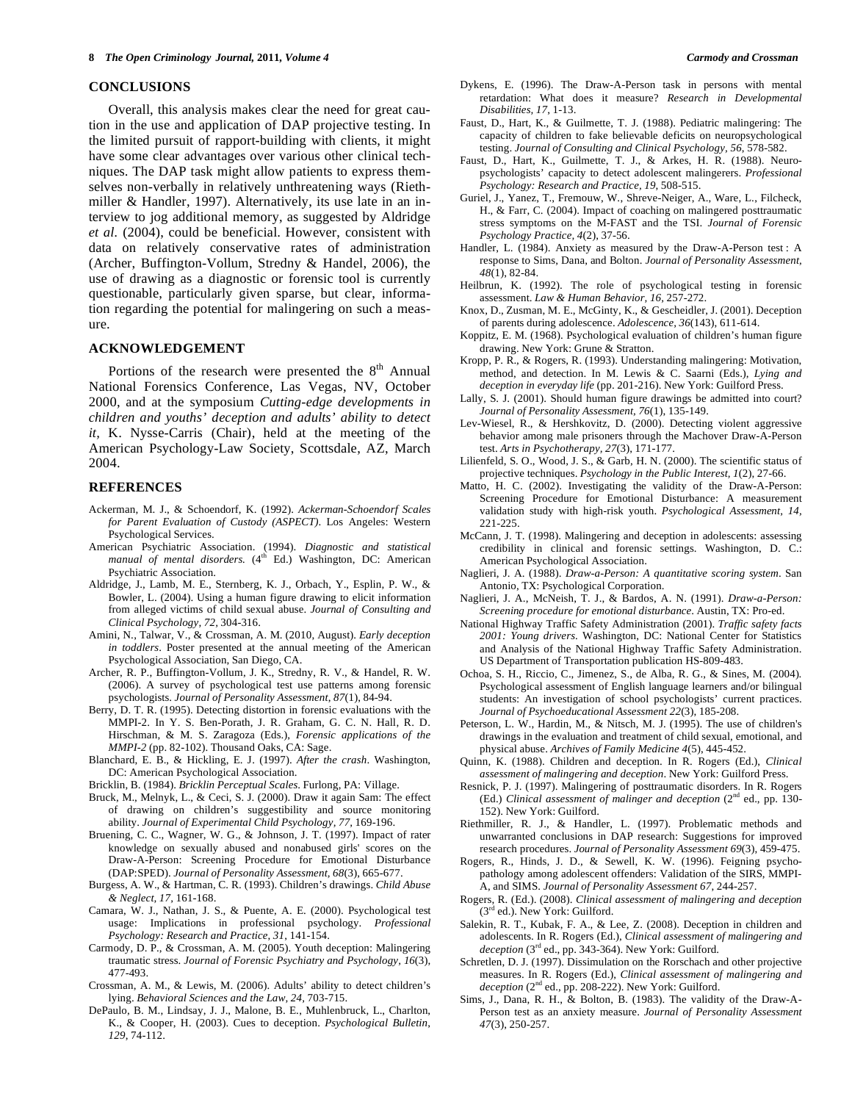# **CONCLUSIONS**

 Overall, this analysis makes clear the need for great caution in the use and application of DAP projective testing. In the limited pursuit of rapport-building with clients, it might have some clear advantages over various other clinical techniques. The DAP task might allow patients to express themselves non-verbally in relatively unthreatening ways (Riethmiller & Handler, 1997). Alternatively, its use late in an interview to jog additional memory, as suggested by Aldridge *et al.* (2004), could be beneficial. However, consistent with data on relatively conservative rates of administration (Archer, Buffington-Vollum, Stredny & Handel, 2006), the use of drawing as a diagnostic or forensic tool is currently questionable, particularly given sparse, but clear, information regarding the potential for malingering on such a measure.

# **ACKNOWLEDGEMENT**

Portions of the research were presented the  $8<sup>th</sup>$  Annual National Forensics Conference, Las Vegas, NV, October 2000, and at the symposium *Cutting-edge developments in children and youths' deception and adults' ability to detect it,* K. Nysse-Carris (Chair), held at the meeting of the American Psychology-Law Society, Scottsdale, AZ, March 2004.

# **REFERENCES**

- Ackerman, M. J., & Schoendorf, K. (1992). *Ackerman-Schoendorf Scales for Parent Evaluation of Custody (ASPECT)*. Los Angeles: Western Psychological Services.
- American Psychiatric Association. (1994). *Diagnostic and statistical manual of mental disorders.* (4<sup>th</sup> Ed.) Washington, DC: American Psychiatric Association.
- Aldridge, J., Lamb, M. E., Sternberg, K. J., Orbach, Y., Esplin, P. W., & Bowler, L. (2004). Using a human figure drawing to elicit information from alleged victims of child sexual abuse. *Journal of Consulting and Clinical Psychology, 72,* 304-316.
- Amini, N., Talwar, V., & Crossman, A. M. (2010, August). *Early deception in toddlers*. Poster presented at the annual meeting of the American Psychological Association, San Diego, CA.
- Archer, R. P., Buffington-Vollum, J. K., Stredny, R. V., & Handel, R. W. (2006). A survey of psychological test use patterns among forensic psychologists. *Journal of Personality Assessment*, *87*(1), 84-94.
- Berry, D. T. R. (1995). Detecting distortion in forensic evaluations with the MMPI-2. In Y. S. Ben-Porath, J. R. Graham, G. C. N. Hall, R. D. Hirschman, & M. S. Zaragoza (Eds.), *Forensic applications of the MMPI-2* (pp. 82-102). Thousand Oaks, CA: Sage.
- Blanchard, E. B., & Hickling, E. J. (1997). *After the crash*. Washington, DC: American Psychological Association.
- Bricklin, B. (1984). *Bricklin Perceptual Scales*. Furlong, PA: Village.
- Bruck, M., Melnyk, L., & Ceci, S. J. (2000). Draw it again Sam: The effect of drawing on children's suggestibility and source monitoring ability. *Journal of Experimental Child Psychology, 77,* 169-196.
- Bruening, C. C., Wagner, W. G., & Johnson, J. T. (1997). Impact of rater knowledge on sexually abused and nonabused girls' scores on the Draw-A-Person: Screening Procedure for Emotional Disturbance (DAP:SPED). *Journal of Personality Assessment, 68*(3), 665-677.
- Burgess, A. W., & Hartman, C. R. (1993). Children's drawings. *Child Abuse & Neglect, 17,* 161-168.
- Camara, W. J., Nathan, J. S., & Puente, A. E. (2000). Psychological test usage: Implications in professional psychology. *Professional Psychology: Research and Practice*, *31*, 141-154.
- Carmody, D. P., & Crossman, A. M. (2005). Youth deception: Malingering traumatic stress. *Journal of Forensic Psychiatry and Psychology, 16*(3), 477-493.
- Crossman, A. M., & Lewis, M. (2006). Adults' ability to detect children's lying. *Behavioral Sciences and the Law, 24,* 703-715.
- DePaulo, B. M., Lindsay, J. J., Malone, B. E., Muhlenbruck, L., Charlton, K., & Cooper, H. (2003). Cues to deception. *Psychological Bulletin*, *129*, 74-112.
- Dykens, E. (1996). The Draw-A-Person task in persons with mental retardation: What does it measure? *Research in Developmental Disabilities, 17*, 1-13.
- Faust, D., Hart, K., & Guilmette, T. J. (1988). Pediatric malingering: The capacity of children to fake believable deficits on neuropsychological testing. *Journal of Consulting and Clinical Psychology, 56*, 578-582.
- Faust, D., Hart, K., Guilmette, T. J., & Arkes, H. R. (1988). Neuropsychologists' capacity to detect adolescent malingerers. *Professional Psychology: Research and Practice, 19*, 508-515.
- Guriel, J., Yanez, T., Fremouw, W., Shreve-Neiger, A., Ware, L., Filcheck, H., & Farr, C. (2004). Impact of coaching on malingered posttraumatic stress symptoms on the M-FAST and the TSI. *Journal of Forensic Psychology Practice, 4*(2), 37-56.
- Handler, L. (1984). Anxiety as measured by the Draw-A-Person test : A response to Sims, Dana, and Bolton. *Journal of Personality Assessment, 48*(1), 82-84.
- Heilbrun, K. (1992). The role of psychological testing in forensic assessment. *Law & Human Behavior, 16,* 257-272.
- Knox, D., Zusman, M. E., McGinty, K., & Gescheidler, J. (2001). Deception of parents during adolescence. *Adolescence, 36*(143), 611-614.
- Koppitz, E. M. (1968). Psychological evaluation of children's human figure drawing. New York: Grune & Stratton.
- Kropp, P. R., & Rogers, R. (1993). Understanding malingering: Motivation, method, and detection. In M. Lewis & C. Saarni (Eds.), *Lying and deception in everyday life* (pp. 201-216). New York: Guilford Press.
- Lally, S. J. (2001). Should human figure drawings be admitted into court? *Journal of Personality Assessment, 76*(1), 135-149.
- Lev-Wiesel, R., & Hershkovitz, D. (2000). Detecting violent aggressive behavior among male prisoners through the Machover Draw-A-Person test. *Arts in Psychotherapy, 27*(3), 171-177.
- Lilienfeld, S. O., Wood, J. S., & Garb, H. N. (2000). The scientific status of projective techniques. *Psychology in the Public Interest, 1*(2), 27-66.
- Matto, H. C. (2002). Investigating the validity of the Draw-A-Person: Screening Procedure for Emotional Disturbance: A measurement validation study with high-risk youth. *Psychological Assessment, 14,* 221-225.
- McCann, J. T. (1998). Malingering and deception in adolescents: assessing credibility in clinical and forensic settings. Washington, D. C.: American Psychological Association.
- Naglieri, J. A. (1988). *Draw-a-Person: A quantitative scoring system*. San Antonio, TX: Psychological Corporation.
- Naglieri, J. A., McNeish, T. J., & Bardos, A. N. (1991). *Draw-a-Person: Screening procedure for emotional disturbance*. Austin, TX: Pro-ed.
- National Highway Traffic Safety Administration (2001). *Traffic safety facts 2001: Young drivers*. Washington, DC: National Center for Statistics and Analysis of the National Highway Traffic Safety Administration. US Department of Transportation publication HS-809-483.
- Ochoa, S. H., Riccio, C., Jimenez, S., de Alba, R. G., & Sines, M. (2004). Psychological assessment of English language learners and/or bilingual students: An investigation of school psychologists' current practices. *Journal of Psychoeducational Assessment 22*(3), 185-208.
- Peterson, L. W., Hardin, M., & Nitsch, M. J. (1995). The use of children's drawings in the evaluation and treatment of child sexual, emotional, and physical abuse. *Archives of Family Medicine 4*(5), 445-452.
- Quinn, K. (1988). Children and deception. In R. Rogers (Ed.), *Clinical assessment of malingering and deception*. New York: Guilford Press.
- Resnick, P. J. (1997). Malingering of posttraumatic disorders. In R. Rogers (Ed.) *Clinical assessment of malinger and deception* (2nd ed., pp. 130- 152). New York: Guilford.
- Riethmiller, R. J., & Handler, L. (1997). Problematic methods and unwarranted conclusions in DAP research: Suggestions for improved research procedures. *Journal of Personality Assessment 69*(3), 459-475.
- Rogers, R., Hinds, J. D., & Sewell, K. W. (1996). Feigning psychopathology among adolescent offenders: Validation of the SIRS, MMPI-A, and SIMS. *Journal of Personality Assessment 67*, 244-257.
- Rogers, R. (Ed.). (2008). *Clinical assessment of malingering and deception* (3rd ed.). New York: Guilford.
- Salekin, R. T., Kubak, F. A., & Lee, Z. (2008). Deception in children and adolescents. In R. Rogers (Ed.), *Clinical assessment of malingering and deception* (3rd ed., pp. 343-364). New York: Guilford.
- Schretlen, D. J. (1997). Dissimulation on the Rorschach and other projective measures. In R. Rogers (Ed.), *Clinical assessment of malingering and deception* (2nd ed., pp. 208-222). New York: Guilford.
- Sims, J., Dana, R. H., & Bolton, B. (1983). The validity of the Draw-A-Person test as an anxiety measure. *Journal of Personality Assessment 47*(3), 250-257.